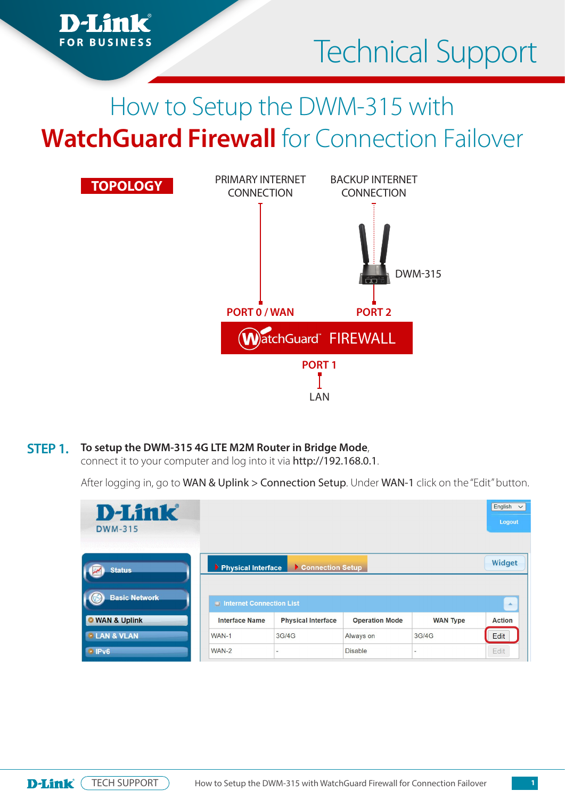

# **WatchGuard Firewall** for Connection Failover



#### **To setup the DWM-315 4G LTE M2M Router in Bridge Mode**, **STEP 1.**

*i*mk

**FOR BUSINESS** 

connect it to your computer and log into it via http://192.168.0.1.

After logging in, go to WAN & Uplink > Connection Setup. Under WAN-1 click on the "Edit" button.

| <b>D-Link</b><br><b>DWM-315</b> |                          |                           |                       |                          | English<br>$\checkmark$<br>Logout |
|---------------------------------|--------------------------|---------------------------|-----------------------|--------------------------|-----------------------------------|
| <b>Status</b>                   | Physical Interface       | Connection Setup          |                       |                          | <b>Widget</b>                     |
| <b>Basic Network</b>            | Internet Connection List |                           |                       |                          | $\Delta$                          |
| <b>O</b> WAN & Uplink           | <b>Interface Name</b>    | <b>Physical Interface</b> | <b>Operation Mode</b> | <b>WAN Type</b>          | <b>Action</b>                     |
| <b>LAN &amp; VLAN</b>           | WAN-1                    | 3G/4G                     | Always on             | 3G/4G                    | Edit                              |
| $\cdot$ IPv6                    | $WAN-2$                  | $\sim$                    | <b>Disable</b>        | $\overline{\phantom{a}}$ | Edit                              |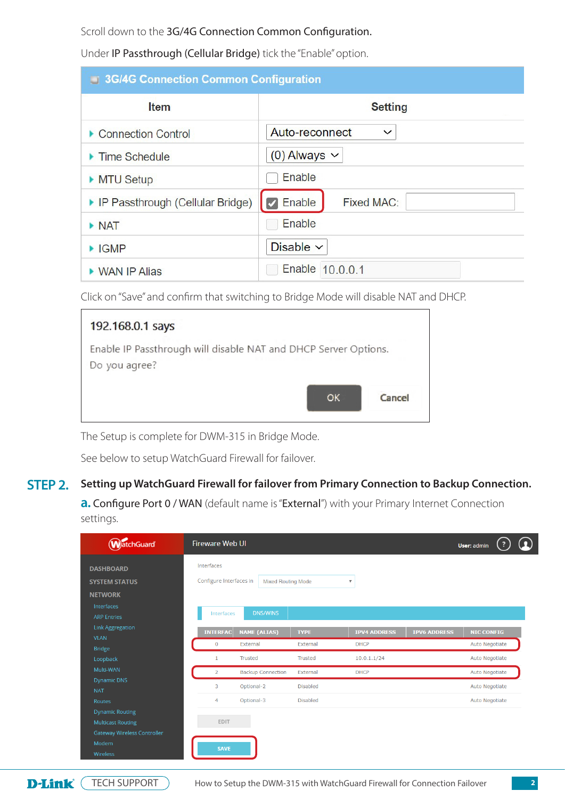Scroll down to the 3G/4G Connection Common Configuration.

Under IP Passthrough (Cellular Bridge) tick the "Enable" option.

|                                    | 3G/4G Connection Common Configuration |  |  |  |  |  |  |
|------------------------------------|---------------------------------------|--|--|--|--|--|--|
| <b>Item</b>                        | <b>Setting</b>                        |  |  |  |  |  |  |
| Connection Control                 | Auto-reconnect<br>$\checkmark$        |  |  |  |  |  |  |
| ▶ Time Schedule                    | $(0)$ Always $\vee$                   |  |  |  |  |  |  |
| MTU Setup                          | <b>Enable</b>                         |  |  |  |  |  |  |
| ▶ IP Passthrough (Cellular Bridge) | $\vee$ Enable<br>Fixed MAC:           |  |  |  |  |  |  |
| $\triangleright$ NAT               | Enable                                |  |  |  |  |  |  |
| $\blacktriangleright$ IGMP         | Disable $\sim$                        |  |  |  |  |  |  |
| ▶ WAN IP Alias                     | Enable 10,0,0,1                       |  |  |  |  |  |  |

Click on "Save" and confirm that switching to Bridge Mode will disable NAT and DHCP.

| 192.168.0.1 says                                                                 |    |        |
|----------------------------------------------------------------------------------|----|--------|
| Enable IP Passthrough will disable NAT and DHCP Server Options.<br>Do you agree? |    |        |
|                                                                                  | OK | Cancel |

The Setup is complete for DWM-315 in Bridge Mode.

See below to setup WatchGuard Firewall for failover.

#### **Setting up WatchGuard Firewall for failover from Primary Connection to Backup Connection. STEP 2.**

**a. Configure Port 0 / WAN** (default name is "External") with your Primary Internet Connection settings.

| tchGuard                                                                                                             | <b>Fireware Web UI</b>                     |                           |                         |                     | <b>User: admin</b> | Ω |
|----------------------------------------------------------------------------------------------------------------------|--------------------------------------------|---------------------------|-------------------------|---------------------|--------------------|---|
| <b>DASHBOARD</b><br><b>SYSTEM STATUS</b>                                                                             | Interfaces<br>Configure Interfaces in      | <b>Mixed Routing Mode</b> | $\overline{\mathbf{v}}$ |                     |                    |   |
| <b>NETWORK</b><br>Interfaces                                                                                         |                                            |                           |                         |                     |                    |   |
| <b>ARP Entries</b>                                                                                                   | <b>DNS/WINS</b><br>Interfaces              |                           |                         |                     |                    |   |
| <b>Link Aggregation</b><br><b>VLAN</b>                                                                               | <b>NAME (ALIAS)</b><br><b>INTERFAC</b>     | <b>TYPE</b>               | <b>IPV4 ADDRESS</b>     | <b>IPV6 ADDRESS</b> | <b>NIC CONFIG</b>  |   |
| <b>Bridge</b>                                                                                                        | $\mathbf 0$<br>External                    | External                  | <b>DHCP</b>             |                     | Auto Negotiate     |   |
| Loopback                                                                                                             | <b>Trusted</b><br>$\mathbf{1}$             | <b>Trusted</b>            | 10.0.1.1/24             |                     | Auto Negotiate     |   |
| Multi-WAN                                                                                                            | <b>Backup Connection</b><br>$\overline{2}$ | External                  | <b>DHCP</b>             |                     | Auto Negotiate     |   |
| <b>Dynamic DNS</b><br><b>NAT</b>                                                                                     | 3<br>Optional-2                            | <b>Disabled</b>           |                         |                     | Auto Negotiate     |   |
| <b>Routes</b>                                                                                                        | Optional-3<br>4                            | <b>Disabled</b>           |                         |                     | Auto Negotiate     |   |
| <b>Dynamic Routing</b><br><b>Multicast Routing</b><br><b>Gateway Wireless Controller</b><br>Modem<br><b>Wireless</b> | <b>EDIT</b><br><b>SAVE</b>                 |                           |                         |                     |                    |   |

D-Link<sup>(</sup>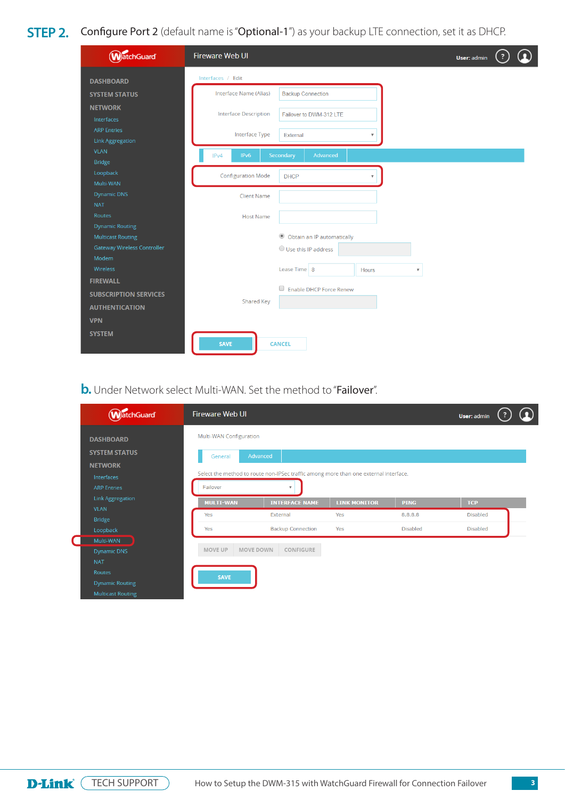# **STEP 2.** Configure Port 2 (default name is "Optional-1") as your backup LTE connection, set it as DHCP.

| <b>WatchGuard</b>                  | Fireware Web UI                                         | User: admin |  |
|------------------------------------|---------------------------------------------------------|-------------|--|
| <b>DASHBOARD</b>                   | Interfaces / Edit                                       |             |  |
| <b>SYSTEM STATUS</b>               | Interface Name (Alias)<br><b>Backup Connection</b>      |             |  |
| <b>NETWORK</b>                     |                                                         |             |  |
| Interfaces                         | Interface Description<br>Failover to DWM-312 LTE        |             |  |
| <b>ARP Entries</b>                 |                                                         |             |  |
| Link Aggregation                   | Interface Type<br>External<br>v                         |             |  |
| <b>VLAN</b>                        | IP <sub>v6</sub><br>Secondary<br>Advanced<br>IPv4       |             |  |
| <b>Bridge</b>                      |                                                         |             |  |
| Loopback                           | <b>Configuration Mode</b><br><b>DHCP</b>                |             |  |
| Multi-WAN                          |                                                         |             |  |
| <b>Dynamic DNS</b>                 | <b>Client Name</b>                                      |             |  |
| <b>NAT</b>                         |                                                         |             |  |
| Routes                             | <b>Host Name</b>                                        |             |  |
| <b>Dynamic Routing</b>             |                                                         |             |  |
| <b>Multicast Routing</b>           | O Obtain an IP automatically                            |             |  |
| <b>Gateway Wireless Controller</b> | $\bigcirc$ Use this IP address                          |             |  |
| Modem                              |                                                         |             |  |
| Wireless                           | Lease Time 8<br><b>Hours</b><br>$\overline{\mathbf{v}}$ |             |  |
| <b>FIREWALL</b>                    | Enable DHCP Force Renew                                 |             |  |
| <b>SUBSCRIPTION SERVICES</b>       | <b>Shared Key</b>                                       |             |  |
| <b>AUTHENTICATION</b>              |                                                         |             |  |
| <b>VPN</b>                         |                                                         |             |  |
| <b>SYSTEM</b>                      | <b>SAVE</b><br><b>CANCEL</b>                            |             |  |

**b.** Under Network select Multi-WAN. Set the method to "Failover".

| <b>WatchGuard</b>                                  | <b>Fireware Web UI</b>  |                                                                                      |                     |                 | User: admin     | $\left( \mathbf{r} \right)$ |
|----------------------------------------------------|-------------------------|--------------------------------------------------------------------------------------|---------------------|-----------------|-----------------|-----------------------------|
| <b>DASHBOARD</b>                                   | Multi-WAN Configuration |                                                                                      |                     |                 |                 |                             |
| <b>SYSTEM STATUS</b>                               | General                 | Advanced                                                                             |                     |                 |                 |                             |
| <b>NETWORK</b>                                     |                         |                                                                                      |                     |                 |                 |                             |
| Interfaces                                         |                         | Select the method to route non-IPSec traffic among more than one external interface. |                     |                 |                 |                             |
| <b>ARP Entries</b>                                 | Failover                | $\overline{\mathbf{v}}$                                                              |                     |                 |                 |                             |
| <b>Link Aggregation</b>                            | <b>MULTI-WAN</b>        | <b>INTERFACE NAME</b>                                                                | <b>LINK MONITOR</b> | <b>PING</b>     | <b>TCP</b>      |                             |
| <b>VLAN</b>                                        | Yes                     | External                                                                             | Yes                 | 8.8.8.8         | <b>Disabled</b> |                             |
| <b>Bridge</b>                                      |                         |                                                                                      |                     |                 |                 |                             |
| Loopback                                           | Yes                     | <b>Backup Connection</b>                                                             | Yes                 | <b>Disabled</b> | <b>Disabled</b> |                             |
| Multi-WAN                                          |                         |                                                                                      |                     |                 |                 |                             |
| <b>Dynamic DNS</b>                                 | MOVE UP                 | MOVE DOWN<br>CONFIGURE                                                               |                     |                 |                 |                             |
| <b>NAT</b>                                         |                         |                                                                                      |                     |                 |                 |                             |
| Routes                                             | <b>SAVE</b>             |                                                                                      |                     |                 |                 |                             |
| <b>Dynamic Routing</b><br><b>Multicast Routing</b> |                         |                                                                                      |                     |                 |                 |                             |